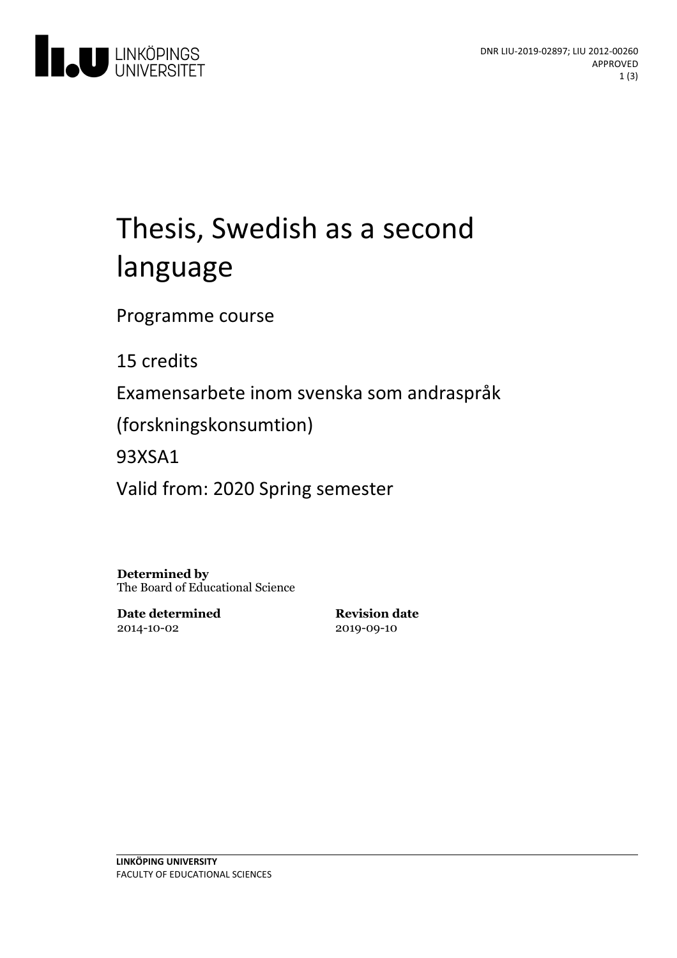

# Thesis, Swedish as a second language

Programme course

15 credits

Examensarbete inom svenska som andraspråk

(forskningskonsumtion)

93XSA1

Valid from: 2020 Spring semester

**Determined by** The Board of Educational Science

**Date determined** 2014-10-02

**Revision date** 2019-09-10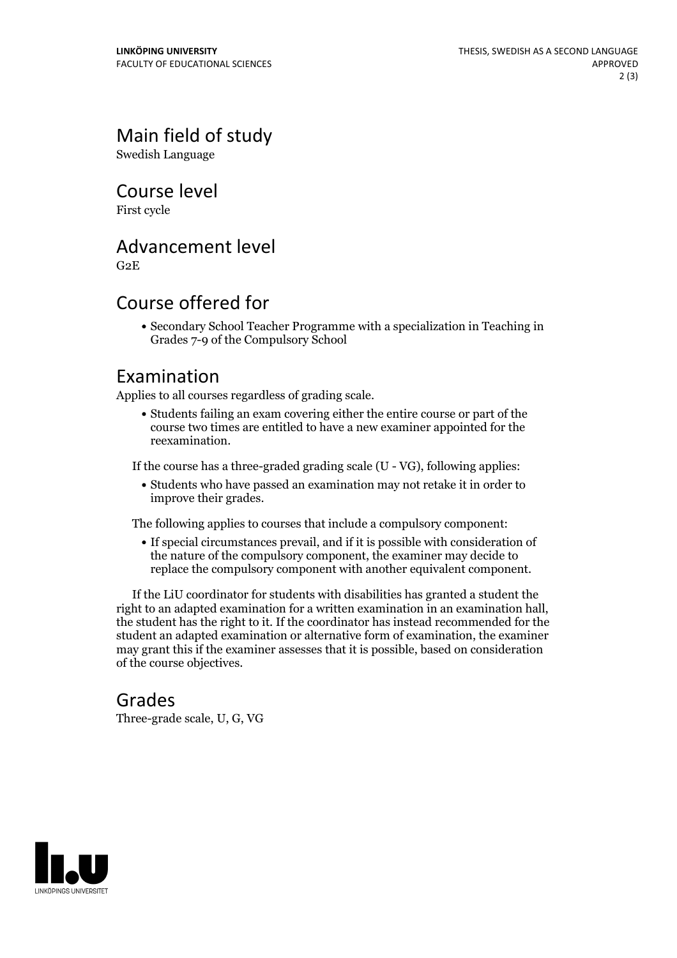# Main field of study

Swedish Language

Course level

First cycle

#### Advancement level

G2E

## Course offered for

Secondary School Teacher Programme with a specialization in Teaching in Grades 7-9 of the Compulsory School

#### Examination

Applies to all courses regardless of grading scale.

Students failing an exam covering either the entire course or part of the course two times are entitled to have a new examiner appointed for the reexamination.

If the course has a three-graded grading scale (U - VG), following applies:

Students who have passed an examination may not retake it in order to improve their grades.

The following applies to courses that include a compulsory component:

If special circumstances prevail, and if it is possible with consideration of the nature of the compulsory component, the examiner may decide to replace the compulsory component with another equivalent component.

If the LiU coordinator for students with disabilities has granted a student the right to an adapted examination for <sup>a</sup> written examination in an examination hall, the student has the right to it. If the coordinator has instead recommended for the student an adapted examination or alternative form of examination, the examiner may grant this if the examiner assesses that it is possible, based on consideration of the course objectives.

#### Grades

Three-grade scale, U, G, VG